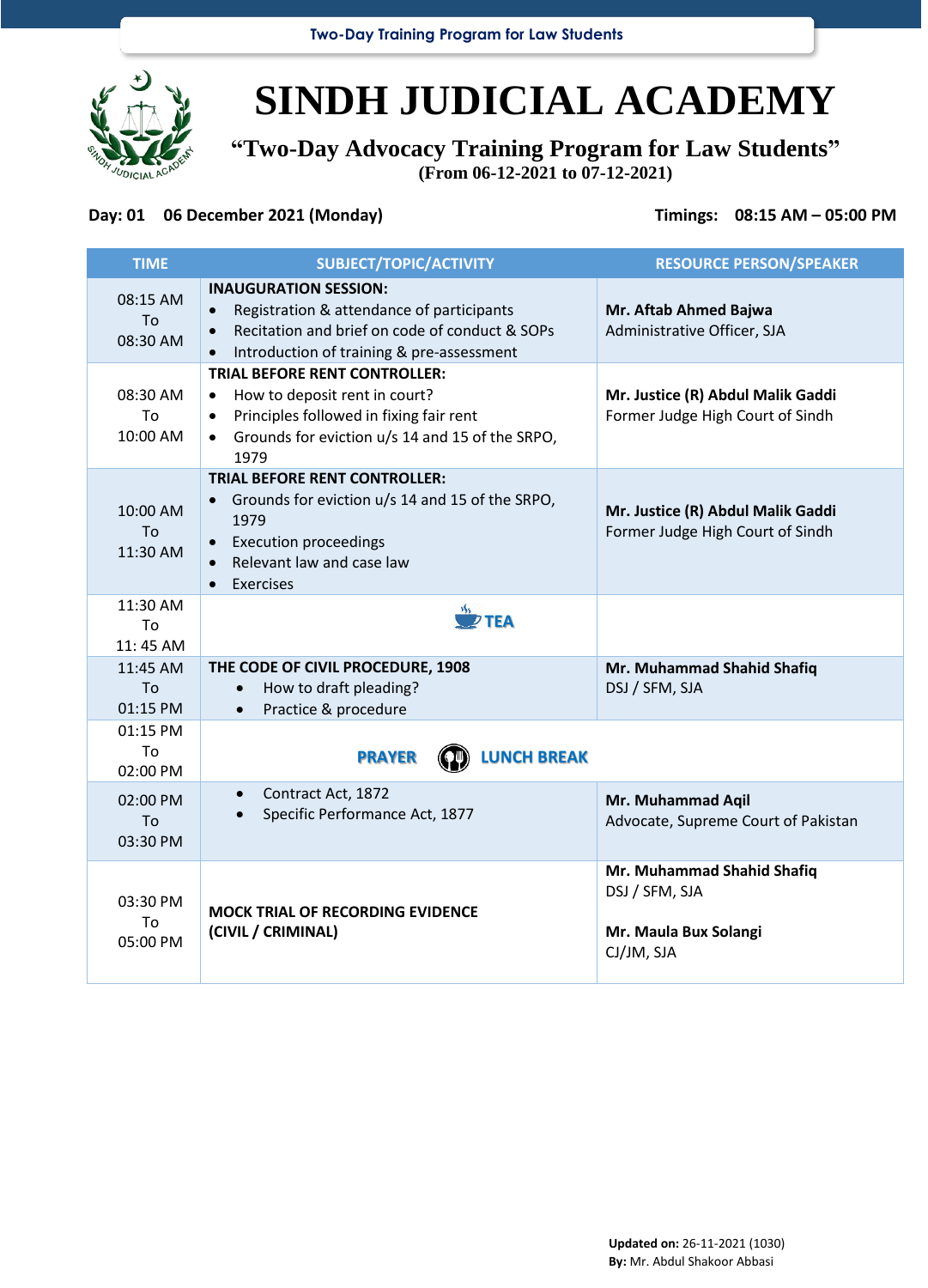

## **SINDH JUDICIAL ACADEMY**

**"Two-Day Advocacy Training Program for Law Students" (From 06-12-2021 to 07-12-2021)**

## **Day: 01 06 December 2021 (Monday) Timings: 08:15 AM – 05:00 PM**

| <b>TIME</b>                       | SUBJECT/TOPIC/ACTIVITY                                                                                                                                                                                                        | <b>RESOURCE PERSON/SPEAKER</b>                                                      |
|-----------------------------------|-------------------------------------------------------------------------------------------------------------------------------------------------------------------------------------------------------------------------------|-------------------------------------------------------------------------------------|
| 08:15 AM<br>To<br>08:30 AM        | <b>INAUGURATION SESSION:</b><br>Registration & attendance of participants<br>$\bullet$<br>Recitation and brief on code of conduct & SOPs<br>$\bullet$<br>Introduction of training & pre-assessment<br>$\bullet$               | Mr. Aftab Ahmed Bajwa<br>Administrative Officer, SJA                                |
| 08:30 AM<br>To<br>10:00 AM        | <b>TRIAL BEFORE RENT CONTROLLER:</b><br>How to deposit rent in court?<br>$\bullet$<br>Principles followed in fixing fair rent<br>$\bullet$<br>Grounds for eviction u/s 14 and 15 of the SRPO,<br>1979                         | Mr. Justice (R) Abdul Malik Gaddi<br>Former Judge High Court of Sindh               |
| 10:00 AM<br>To<br>11:30 AM        | <b>TRIAL BEFORE RENT CONTROLLER:</b><br>Grounds for eviction u/s 14 and 15 of the SRPO,<br>$\bullet$<br>1979<br><b>Execution proceedings</b><br>$\bullet$<br>Relevant law and case law<br>$\bullet$<br>Exercises<br>$\bullet$ | Mr. Justice (R) Abdul Malik Gaddi<br>Former Judge High Court of Sindh               |
| 11:30 AM<br>To<br>11:45 AM        | $\frac{M_{\rm S}}{M}$ TEA                                                                                                                                                                                                     |                                                                                     |
| 11:45 AM<br><b>To</b><br>01:15 PM | THE CODE OF CIVIL PROCEDURE, 1908<br>How to draft pleading?<br>Practice & procedure<br>$\bullet$                                                                                                                              | Mr. Muhammad Shahid Shafiq<br>DSJ / SFM, SJA                                        |
| 01:15 PM<br>To<br>02:00 PM        | <b>LUNCH BREAK</b><br><b>PRAYER</b>                                                                                                                                                                                           |                                                                                     |
| 02:00 PM<br>To<br>03:30 PM        | Contract Act, 1872<br>$\bullet$<br>Specific Performance Act, 1877                                                                                                                                                             | Mr. Muhammad Aqil<br>Advocate, Supreme Court of Pakistan                            |
| 03:30 PM<br>To<br>05:00 PM        | <b>MOCK TRIAL OF RECORDING EVIDENCE</b><br>(CIVIL / CRIMINAL)                                                                                                                                                                 | Mr. Muhammad Shahid Shafiq<br>DSJ / SFM, SJA<br>Mr. Maula Bux Solangi<br>CJ/JM, SJA |